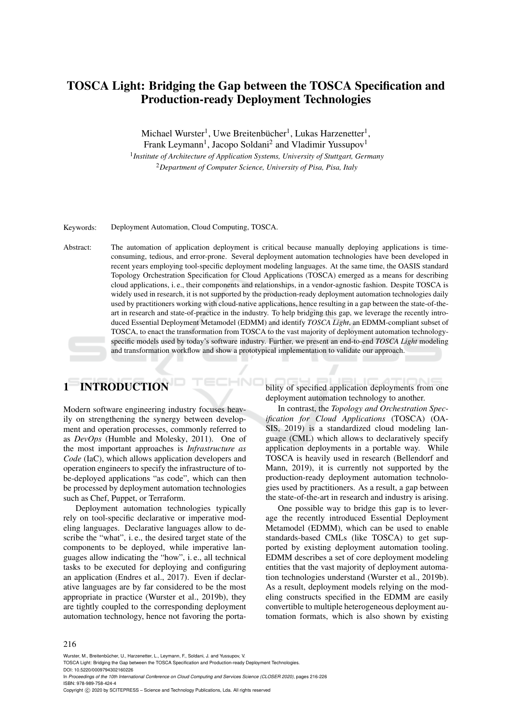# TOSCA Light: Bridging the Gap between the TOSCA Specification and Production-ready Deployment Technologies

Michael Wurster<sup>1</sup>, Uwe Breitenbücher<sup>1</sup>, Lukas Harzenetter<sup>1</sup>,

Frank Leymann<sup>1</sup>, Jacopo Soldani<sup>2</sup> and Vladimir Yussupov<sup>1</sup> <sup>1</sup> Institute of Architecture of Application Systems, University of Stuttgart, Germany <sup>2</sup>*Department of Computer Science, University of Pisa, Pisa, Italy*

Keywords: Deployment Automation, Cloud Computing, TOSCA.

Abstract: The automation of application deployment is critical because manually deploying applications is timeconsuming, tedious, and error-prone. Several deployment automation technologies have been developed in recent years employing tool-specific deployment modeling languages. At the same time, the OASIS standard Topology Orchestration Specification for Cloud Applications (TOSCA) emerged as a means for describing cloud applications, i. e., their components and relationships, in a vendor-agnostic fashion. Despite TOSCA is widely used in research, it is not supported by the production-ready deployment automation technologies daily used by practitioners working with cloud-native applications, hence resulting in a gap between the state-of-theart in research and state-of-practice in the industry. To help bridging this gap, we leverage the recently introduced Essential Deployment Metamodel (EDMM) and identify *TOSCA Light*, an EDMM-compliant subset of TOSCA, to enact the transformation from TOSCA to the vast majority of deployment automation technologyspecific models used by today's software industry. Further, we present an end-to-end *TOSCA Light* modeling and transformation workflow and show a prototypical implementation to validate our approach.

# 1 INTRODUCTION

Modern software engineering industry focuses heavily on strengthening the synergy between development and operation processes, commonly referred to as *DevOps* (Humble and Molesky, 2011). One of the most important approaches is *Infrastructure as Code* (IaC), which allows application developers and operation engineers to specify the infrastructure of tobe-deployed applications "as code", which can then be processed by deployment automation technologies such as Chef, Puppet, or Terraform.

Deployment automation technologies typically rely on tool-specific declarative or imperative modeling languages. Declarative languages allow to describe the "what", i. e., the desired target state of the components to be deployed, while imperative languages allow indicating the "how", i. e., all technical tasks to be executed for deploying and configuring an application (Endres et al., 2017). Even if declarative languages are by far considered to be the most appropriate in practice (Wurster et al., 2019b), they are tightly coupled to the corresponding deployment automation technology, hence not favoring the portability of specified application deployments from one deployment automation technology to another.

In contrast, the *Topology and Orchestration Specification for Cloud Applications* (TOSCA) (OA-SIS, 2019) is a standardized cloud modeling language (CML) which allows to declaratively specify application deployments in a portable way. While TOSCA is heavily used in research (Bellendorf and Mann, 2019), it is currently not supported by the production-ready deployment automation technologies used by practitioners. As a result, a gap between the state-of-the-art in research and industry is arising.

One possible way to bridge this gap is to leverage the recently introduced Essential Deployment Metamodel (EDMM), which can be used to enable standards-based CMLs (like TOSCA) to get supported by existing deployment automation tooling. EDMM describes a set of core deployment modeling entities that the vast majority of deployment automation technologies understand (Wurster et al., 2019b). As a result, deployment models relying on the modeling constructs specified in the EDMM are easily convertible to multiple heterogeneous deployment automation formats, which is also shown by existing

#### 216

Wurster, M., Breitenbücher, U., Harzenetter, L., Leymann, F., Soldani, J. and Yussupov, V.

In *Proceedings of the 10th International Conference on Cloud Computing and Services Science (CLOSER 2020)*, pages 216-226 ISBN: 978-989-758-424-4

Copyright (C) 2020 by SCITEPRESS - Science and Technology Publications, Lda. All rights reserved

TOSCA Light: Bridging the Gap between the TOSCA Specification and Production-ready Deployment Technologies. DOI: 10.5220/0009794302160226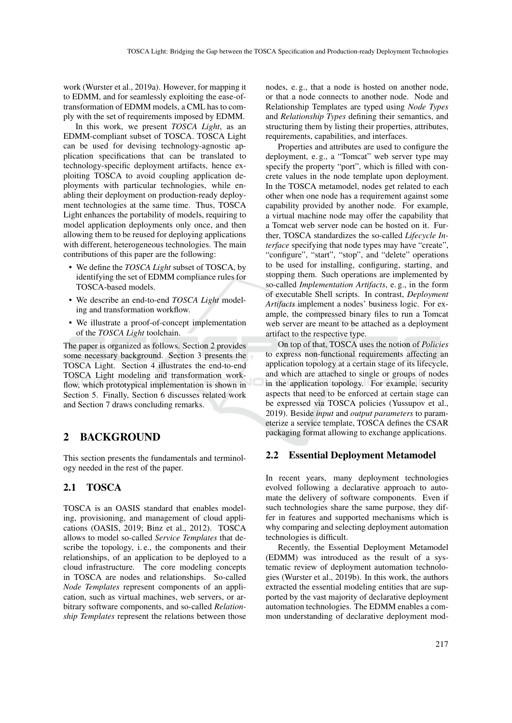work (Wurster et al., 2019a). However, for mapping it to EDMM, and for seamlessly exploiting the ease-oftransformation of EDMM models, a CML has to comply with the set of requirements imposed by EDMM.

In this work, we present *TOSCA Light*, as an EDMM-compliant subset of TOSCA. TOSCA Light can be used for devising technology-agnostic application specifications that can be translated to technology-specific deployment artifacts, hence exploiting TOSCA to avoid coupling application deployments with particular technologies, while enabling their deployment on production-ready deployment technologies at the same time. Thus, TOSCA Light enhances the portability of models, requiring to model application deployments only once, and then allowing them to be reused for deploying applications with different, heterogeneous technologies. The main contributions of this paper are the following:

- We define the *TOSCA Light* subset of TOSCA, by identifying the set of EDMM compliance rules for TOSCA-based models.
- We describe an end-to-end *TOSCA Light* modeling and transformation workflow.
- We illustrate a proof-of-concept implementation of the *TOSCA Light* toolchain.

The paper is organized as follows. Section 2 provides some necessary background. Section 3 presents the TOSCA Light. Section 4 illustrates the end-to-end TOSCA Light modeling and transformation workflow, which prototypical implementation is shown in Section 5. Finally, Section 6 discusses related work and Section 7 draws concluding remarks.

# 2 BACKGROUND

This section presents the fundamentals and terminology needed in the rest of the paper.

#### 2.1 TOSCA

TOSCA is an OASIS standard that enables modeling, provisioning, and management of cloud applications (OASIS, 2019; Binz et al., 2012). TOSCA allows to model so-called *Service Templates* that describe the topology, i. e., the components and their relationships, of an application to be deployed to a cloud infrastructure. The core modeling concepts in TOSCA are nodes and relationships. So-called *Node Templates* represent components of an application, such as virtual machines, web servers, or arbitrary software components, and so-called *Relationship Templates* represent the relations between those

nodes, e. g., that a node is hosted on another node, or that a node connects to another node. Node and Relationship Templates are typed using *Node Types* and *Relationship Types* defining their semantics, and structuring them by listing their properties, attributes, requirements, capabilities, and interfaces.

Properties and attributes are used to configure the deployment, e. g., a "Tomcat" web server type may specify the property "port", which is filled with concrete values in the node template upon deployment. In the TOSCA metamodel, nodes get related to each other when one node has a requirement against some capability provided by another node. For example, a virtual machine node may offer the capability that a Tomcat web server node can be hosted on it. Further, TOSCA standardizes the so-called *Lifecycle Interface* specifying that node types may have "create", "configure", "start", "stop", and "delete" operations to be used for installing, configuring, starting, and stopping them. Such operations are implemented by so-called *Implementation Artifacts*, e. g., in the form of executable Shell scripts. In contrast, *Deployment Artifacts* implement a nodes' business logic. For example, the compressed binary files to run a Tomcat web server are meant to be attached as a deployment artifact to the respective type.

On top of that, TOSCA uses the notion of *Policies* to express non-functional requirements affecting an application topology at a certain stage of its lifecycle, and which are attached to single or groups of nodes in the application topology. For example, security aspects that need to be enforced at certain stage can be expressed via TOSCA policies (Yussupov et al., 2019). Beside *input* and *output parameters* to parameterize a service template, TOSCA defines the CSAR packaging format allowing to exchange applications.

#### 2.2 Essential Deployment Metamodel

In recent years, many deployment technologies evolved following a declarative approach to automate the delivery of software components. Even if such technologies share the same purpose, they differ in features and supported mechanisms which is why comparing and selecting deployment automation technologies is difficult.

Recently, the Essential Deployment Metamodel (EDMM) was introduced as the result of a systematic review of deployment automation technologies (Wurster et al., 2019b). In this work, the authors extracted the essential modeling entities that are supported by the vast majority of declarative deployment automation technologies. The EDMM enables a common understanding of declarative deployment mod-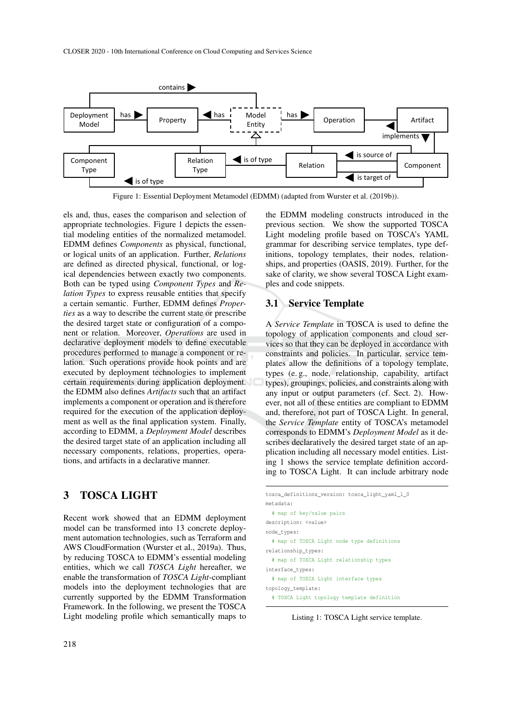

Figure 1: Essential Deployment Metamodel (EDMM) (adapted from Wurster et al. (2019b)).

els and, thus, eases the comparison and selection of appropriate technologies. Figure 1 depicts the essential modeling entities of the normalized metamodel. EDMM defines *Components* as physical, functional, or logical units of an application. Further, *Relations* are defined as directed physical, functional, or logical dependencies between exactly two components. Both can be typed using *Component Types* and *Relation Types* to express reusable entities that specify a certain semantic. Further, EDMM defines *Properties* as a way to describe the current state or prescribe the desired target state or configuration of a component or relation. Moreover, *Operations* are used in declarative deployment models to define executable procedures performed to manage a component or relation. Such operations provide hook points and are executed by deployment technologies to implement certain requirements during application deployment. the EDMM also defines *Artifacts* such that an artifact implements a component or operation and is therefore required for the execution of the application deployment as well as the final application system. Finally, according to EDMM, a *Deployment Model* describes the desired target state of an application including all necessary components, relations, properties, operations, and artifacts in a declarative manner.

### 3 TOSCA LIGHT

Recent work showed that an EDMM deployment model can be transformed into 13 concrete deployment automation technologies, such as Terraform and AWS CloudFormation (Wurster et al., 2019a). Thus, by reducing TOSCA to EDMM's essential modeling entities, which we call *TOSCA Light* hereafter, we enable the transformation of *TOSCA Light*-compliant models into the deployment technologies that are currently supported by the EDMM Transformation Framework. In the following, we present the TOSCA Light modeling profile which semantically maps to

the EDMM modeling constructs introduced in the previous section. We show the supported TOSCA Light modeling profile based on TOSCA's YAML grammar for describing service templates, type definitions, topology templates, their nodes, relationships, and properties (OASIS, 2019). Further, for the sake of clarity, we show several TOSCA Light examples and code snippets.

#### 3.1 Service Template

A *Service Template* in TOSCA is used to define the topology of application components and cloud services so that they can be deployed in accordance with constraints and policies. In particular, service templates allow the definitions of a topology template, types (e. g., node, relationship, capability, artifact types), groupings, policies, and constraints along with any input or output parameters (cf. Sect. 2). However, not all of these entities are compliant to EDMM and, therefore, not part of TOSCA Light. In general, the *Service Template* entity of TOSCA's metamodel corresponds to EDMM's *Deployment Model* as it describes declaratively the desired target state of an application including all necessary model entities. Listing 1 shows the service template definition according to TOSCA Light. It can include arbitrary node

```
tosca_definitions_version: tosca_light_yaml_1_0
metadata:
 # map of key/value pairs
description: <value>
node_types:
 # map of TOSCA Light node type definitions
relationship_types:
 # map of TOSCA Light relationship types
interface_types:
 # map of TOSCA Light interface types
topology_template:
  # TOSCA Light topology template definition
```
Listing 1: TOSCA Light service template.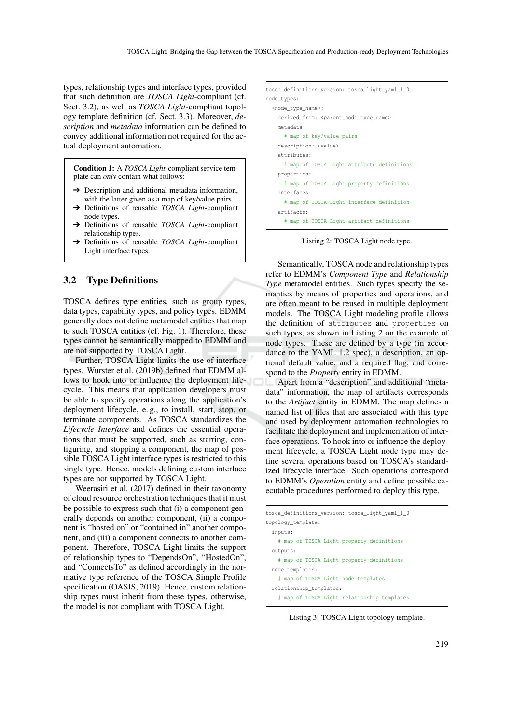types, relationship types and interface types, provided that such definition are *TOSCA Light*-compliant (cf. Sect. 3.2), as well as *TOSCA Light*-compliant topology template definition (cf. Sect. 3.3). Moreover, *description* and *metadata* information can be defined to convey additional information not required for the actual deployment automation.

Condition 1: A *TOSCA Light*-compliant service template can *only* contain what follows:

- **→** Description and additional metadata information, with the latter given as a map of key/value pairs.
- ➔ Definitions of reusable *TOSCA Light*-compliant node types.
- ➔ Definitions of reusable *TOSCA Light*-compliant relationship types.
- ➔ Definitions of reusable *TOSCA Light*-compliant Light interface types.

#### 3.2 Type Definitions

TOSCA defines type entities, such as group types, data types, capability types, and policy types. EDMM generally does not define metamodel entities that map to such TOSCA entities (cf. Fig. 1). Therefore, these types cannot be semantically mapped to EDMM and are not supported by TOSCA Light.

Further, TOSCA Light limits the use of interface types. Wurster et al. (2019b) defined that EDMM allows to hook into or influence the deployment lifecycle. This means that application developers must be able to specify operations along the application's deployment lifecycle, e. g., to install, start, stop, or terminate components. As TOSCA standardizes the *Lifecycle Interface* and defines the essential operations that must be supported, such as starting, configuring, and stopping a component, the map of possible TOSCA Light interface types is restricted to this single type. Hence, models defining custom interface types are not supported by TOSCA Light.

Weerasiri et al. (2017) defined in their taxonomy of cloud resource orchestration techniques that it must be possible to express such that (i) a component generally depends on another component, (ii) a component is "hosted on" or "contained in" another component, and (iii) a component connects to another component. Therefore, TOSCA Light limits the support of relationship types to "DependsOn", "HostedOn", and "ConnectsTo" as defined accordingly in the normative type reference of the TOSCA Simple Profile specification (OASIS, 2019). Hence, custom relationship types must inherit from these types, otherwise, the model is not compliant with TOSCA Light.

```
tosca_definitions_version: tosca_light_yaml_1_0
node_types:
 <node_type_name>:
   derived_from: <parent_node_type_name>
   metadata:
     # map of key/value pairs
   description: <value>
   attributes:
     # map of TOSCA Light attribute definitions
   properties:
     # map of TOSCA Light property definitions
    interfaces:
     # map of TOSCA Light interface definition
    artifacts:
     # map of TOSCA Light artifact definitions
```
Listing 2: TOSCA Light node type.

Semantically, TOSCA node and relationship types refer to EDMM's *Component Type* and *Relationship Type* metamodel entities. Such types specify the semantics by means of properties and operations, and are often meant to be reused in multiple deployment models. The TOSCA Light modeling profile allows the definition of attributes and properties on such types, as shown in Listing 2 on the example of node types. These are defined by a type (in accordance to the YAML 1.2 spec), a description, an optional default value, and a required flag, and correspond to the *Property* entity in EDMM.

Apart from a "description" and additional "metadata" information, the map of artifacts corresponds to the *Artifact* entity in EDMM. The map defines a named list of files that are associated with this type and used by deployment automation technologies to facilitate the deployment and implementation of interface operations. To hook into or influence the deployment lifecycle, a TOSCA Light node type may define several operations based on TOSCA's standardized lifecycle interface. Such operations correspond to EDMM's *Operation* entity and define possible executable procedures performed to deploy this type.

```
tosca_definitions_version: tosca_light_yaml_1_0
topology_template:
 inputs:
   # map of TOSCA Light property definitions
  outputs:
   # map of TOSCA Light property definitions
  node_templates:
   # map of TOSCA Light node templates
  relationship_templates:
    # map of TOSCA Light relationship templates
```
Listing 3: TOSCA Light topology template.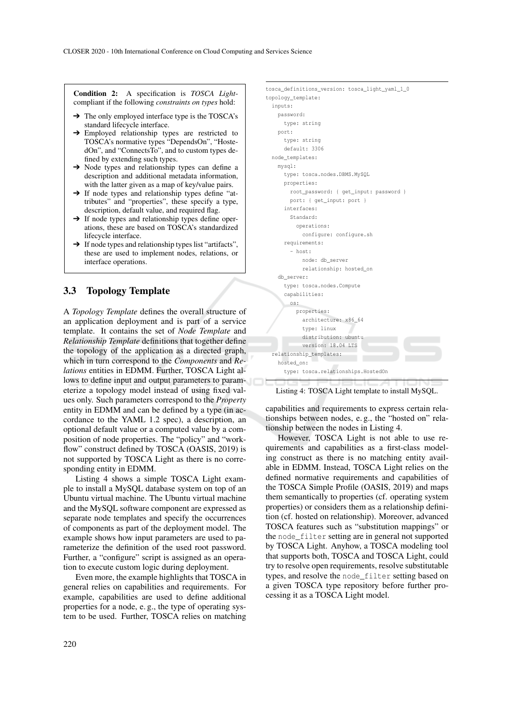Condition 2: A specification is *TOSCA Light*compliant if the following *constraints on types* hold:

- $\rightarrow$  The only employed interface type is the TOSCA's standard lifecycle interface.
- ➔ Employed relationship types are restricted to TOSCA's normative types "DependsOn", "HostedOn", and "ConnectsTo", and to custom types defined by extending such types.
- ➔ Node types and relationship types can define a description and additional metadata information, with the latter given as a map of key/value pairs.
- → If node types and relationship types define "attributes" and "properties", these specify a type, description, default value, and required flag.
- → If node types and relationship types define operations, these are based on TOSCA's standardized lifecycle interface.
- ➔ If node types and relationship types list "artifacts", these are used to implement nodes, relations, or interface operations.

#### 3.3 Topology Template

A *Topology Template* defines the overall structure of an application deployment and is part of a service template. It contains the set of *Node Template* and *Relationship Template* definitions that together define the topology of the application as a directed graph, which in turn correspond to the *Components* and *Relations* entities in EDMM. Further, TOSCA Light allows to define input and output parameters to parameterize a topology model instead of using fixed values only. Such parameters correspond to the *Property* entity in EDMM and can be defined by a type (in accordance to the YAML 1.2 spec), a description, an optional default value or a computed value by a composition of node properties. The "policy" and "workflow" construct defined by TOSCA (OASIS, 2019) is not supported by TOSCA Light as there is no corresponding entity in EDMM.

Listing 4 shows a simple TOSCA Light example to install a MySQL database system on top of an Ubuntu virtual machine. The Ubuntu virtual machine and the MySQL software component are expressed as separate node templates and specify the occurrences of components as part of the deployment model. The example shows how input parameters are used to parameterize the definition of the used root password. Further, a "configure" script is assigned as an operation to execute custom logic during deployment.

Even more, the example highlights that TOSCA in general relies on capabilities and requirements. For example, capabilities are used to define additional properties for a node, e. g., the type of operating system to be used. Further, TOSCA relies on matching

```
tosca_definitions_version: tosca_light_yaml_1_0
topology_template:
 inputs:
   password:
     type: string
   port:
     type: string
     default: 3306
 node_templates:
   mysql:
     type: tosca.nodes.DBMS.MySQL
     properties:
       root password: { get input: password }
      port: { get_input: port }
     interfaces:
       Standard:
         operations:
           configure: configure.sh
     requirements:
        - host:
           node: db_server
           relationship: hosted_on
    db_server:
     type: tosca.nodes.Compute
     capabilities:
      os:
         properties:
           architecture: x86_64
           type: linux
           distribution: ubuntu
            version: 18.04 LTS
  relationship_templates:
   hosted_on:
     type: tosca.relationships.HostedOn
```
#### Listing 4: TOSCA Light template to install MySQL.

capabilities and requirements to express certain relationships between nodes, e. g., the "hosted on" relationship between the nodes in Listing 4.

However, TOSCA Light is not able to use requirements and capabilities as a first-class modeling construct as there is no matching entity available in EDMM. Instead, TOSCA Light relies on the defined normative requirements and capabilities of the TOSCA Simple Profile (OASIS, 2019) and maps them semantically to properties (cf. operating system properties) or considers them as a relationship definition (cf. hosted on relationship). Moreover, advanced TOSCA features such as "substitution mappings" or the node\_filter setting are in general not supported by TOSCA Light. Anyhow, a TOSCA modeling tool that supports both, TOSCA and TOSCA Light, could try to resolve open requirements, resolve substitutable types, and resolve the node\_filter setting based on a given TOSCA type repository before further processing it as a TOSCA Light model.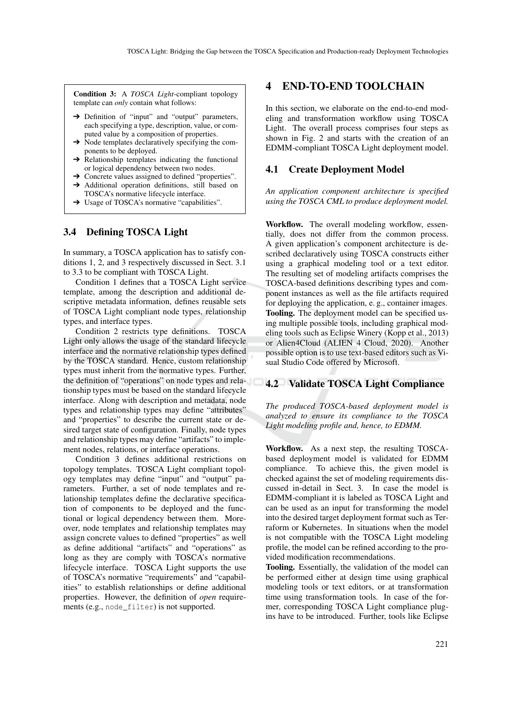Condition 3: A *TOSCA Light*-compliant topology template can *only* contain what follows:

- → Definition of "input" and "output" parameters, each specifying a type, description, value, or computed value by a composition of properties.
- $\rightarrow$  Node templates declaratively specifying the components to be deployed.
- $\rightarrow$  Relationship templates indicating the functional or logical dependency between two nodes.
- ➔ Concrete values assigned to defined "properties".
- → Additional operation definitions, still based on TOSCA's normative lifecycle interface.
- ➔ Usage of TOSCA's normative "capabilities".

#### 3.4 Defining TOSCA Light

In summary, a TOSCA application has to satisfy conditions 1, 2, and 3 respectively discussed in Sect. 3.1 to 3.3 to be compliant with TOSCA Light.

Condition 1 defines that a TOSCA Light service template, among the description and additional descriptive metadata information, defines reusable sets of TOSCA Light compliant node types, relationship types, and interface types.

Condition 2 restricts type definitions. TOSCA Light only allows the usage of the standard lifecycle interface and the normative relationship types defined by the TOSCA standard. Hence, custom relationship types must inherit from the normative types. Further, the definition of "operations" on node types and relationship types must be based on the standard lifecycle interface. Along with description and metadata, node types and relationship types may define "attributes" and "properties" to describe the current state or desired target state of configuration. Finally, node types and relationship types may define "artifacts" to implement nodes, relations, or interface operations.

Condition 3 defines additional restrictions on topology templates. TOSCA Light compliant topology templates may define "input" and "output" parameters. Further, a set of node templates and relationship templates define the declarative specification of components to be deployed and the functional or logical dependency between them. Moreover, node templates and relationship templates may assign concrete values to defined "properties" as well as define additional "artifacts" and "operations" as long as they are comply with TOSCA's normative lifecycle interface. TOSCA Light supports the use of TOSCA's normative "requirements" and "capabilities" to establish relationships or define additional properties. However, the definition of *open* requirements (e.g., node filter) is not supported.

### 4 END-TO-END TOOLCHAIN

In this section, we elaborate on the end-to-end modeling and transformation workflow using TOSCA Light. The overall process comprises four steps as shown in Fig. 2 and starts with the creation of an EDMM-compliant TOSCA Light deployment model.

#### 4.1 Create Deployment Model

*An application component architecture is specified using the TOSCA CML to produce deployment model.*

Workflow. The overall modeling workflow, essentially, does not differ from the common process. A given application's component architecture is described declaratively using TOSCA constructs either using a graphical modeling tool or a text editor. The resulting set of modeling artifacts comprises the TOSCA-based definitions describing types and component instances as well as the file artifacts required for deploying the application, e. g., container images. Tooling. The deployment model can be specified using multiple possible tools, including graphical modeling tools such as Eclipse Winery (Kopp et al., 2013) or Alien4Cloud (ALIEN 4 Cloud, 2020). Another possible option is to use text-based editors such as Visual Studio Code offered by Microsoft.

#### 4.2 Validate TOSCA Light Compliance

*The produced TOSCA-based deployment model is analyzed to ensure its compliance to the TOSCA Light modeling profile and, hence, to EDMM.*

Workflow. As a next step, the resulting TOSCAbased deployment model is validated for EDMM compliance. To achieve this, the given model is checked against the set of modeling requirements discussed in-detail in Sect. 3. In case the model is EDMM-compliant it is labeled as TOSCA Light and can be used as an input for transforming the model into the desired target deployment format such as Terraform or Kubernetes. In situations when the model is not compatible with the TOSCA Light modeling profile, the model can be refined according to the provided modification recommendations.

Tooling. Essentially, the validation of the model can be performed either at design time using graphical modeling tools or text editors, or at transformation time using transformation tools. In case of the former, corresponding TOSCA Light compliance plugins have to be introduced. Further, tools like Eclipse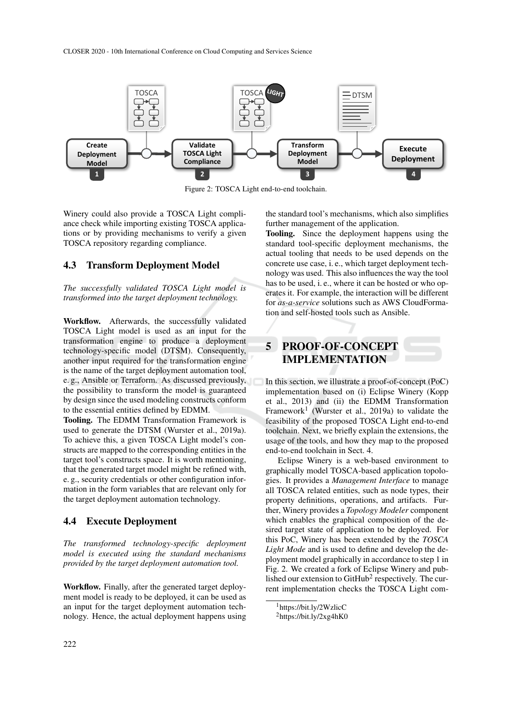

Figure 2: TOSCA Light end-to-end toolchain.

Winery could also provide a TOSCA Light compliance check while importing existing TOSCA applications or by providing mechanisms to verify a given TOSCA repository regarding compliance.

#### 4.3 Transform Deployment Model

*The successfully validated TOSCA Light model is transformed into the target deployment technology.*

Workflow. Afterwards, the successfully validated TOSCA Light model is used as an input for the transformation engine to produce a deployment technology-specific model (DTSM). Consequently, another input required for the transformation engine is the name of the target deployment automation tool, e. g., Ansible or Terraform. As discussed previously, the possibility to transform the model is guaranteed by design since the used modeling constructs conform to the essential entities defined by EDMM.

Tooling. The EDMM Transformation Framework is used to generate the DTSM (Wurster et al., 2019a). To achieve this, a given TOSCA Light model's constructs are mapped to the corresponding entities in the target tool's constructs space. It is worth mentioning, that the generated target model might be refined with, e. g., security credentials or other configuration information in the form variables that are relevant only for the target deployment automation technology.

#### 4.4 Execute Deployment

*The transformed technology-specific deployment model is executed using the standard mechanisms provided by the target deployment automation tool.*

Workflow. Finally, after the generated target deployment model is ready to be deployed, it can be used as an input for the target deployment automation technology. Hence, the actual deployment happens using the standard tool's mechanisms, which also simplifies further management of the application.

Tooling. Since the deployment happens using the standard tool-specific deployment mechanisms, the actual tooling that needs to be used depends on the concrete use case, i. e., which target deployment technology was used. This also influences the way the tool has to be used, i. e., where it can be hosted or who operates it. For example, the interaction will be different for *as-a-service* solutions such as AWS CloudFormation and self-hosted tools such as Ansible.

# 5 PROOF-OF-CONCEPT IMPLEMENTATION

In this section, we illustrate a proof-of-concept (PoC) implementation based on (i) Eclipse Winery (Kopp et al., 2013) and (ii) the EDMM Transformation Framework<sup>1</sup> (Wurster et al., 2019a) to validate the feasibility of the proposed TOSCA Light end-to-end toolchain. Next, we briefly explain the extensions, the usage of the tools, and how they map to the proposed end-to-end toolchain in Sect. 4.

Eclipse Winery is a web-based environment to graphically model TOSCA-based application topologies. It provides a *Management Interface* to manage all TOSCA related entities, such as node types, their property definitions, operations, and artifacts. Further, Winery provides a *Topology Modeler* component which enables the graphical composition of the desired target state of application to be deployed. For this PoC, Winery has been extended by the *TOSCA Light Mode* and is used to define and develop the deployment model graphically in accordance to step 1 in Fig. 2. We created a fork of Eclipse Winery and published our extension to GitHub<sup>2</sup> respectively. The current implementation checks the TOSCA Light com-

<sup>1</sup>https://bit.ly/2WzlicC

 $^{2}$ https://bit.ly/2xg4hK0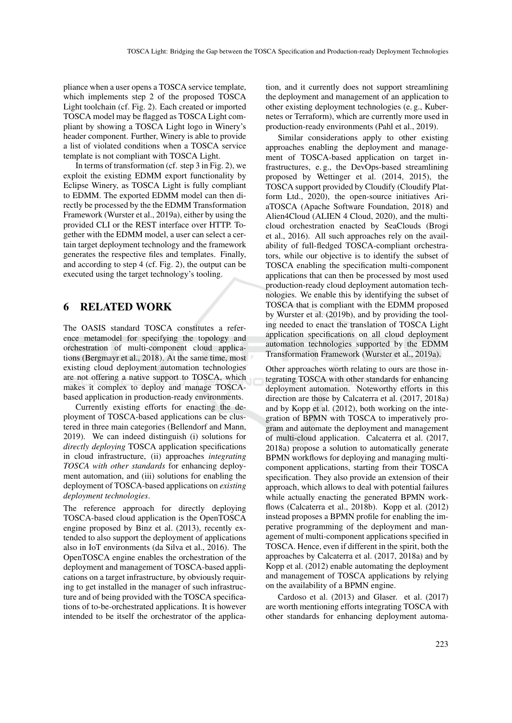pliance when a user opens a TOSCA service template, which implements step 2 of the proposed TOSCA Light toolchain (cf. Fig. 2). Each created or imported TOSCA model may be flagged as TOSCA Light compliant by showing a TOSCA Light logo in Winery's header component. Further, Winery is able to provide a list of violated conditions when a TOSCA service template is not compliant with TOSCA Light.

In terms of transformation (cf. step  $3$  in Fig. 2), we exploit the existing EDMM export functionality by Eclipse Winery, as TOSCA Light is fully compliant to EDMM. The exported EDMM model can then directly be processed by the the EDMM Transformation Framework (Wurster et al., 2019a), either by using the provided CLI or the REST interface over HTTP. Together with the EDMM model, a user can select a certain target deployment technology and the framework generates the respective files and templates. Finally, and according to step 4 (cf. Fig. 2), the output can be executed using the target technology's tooling.

## 6 RELATED WORK

The OASIS standard TOSCA constitutes a reference metamodel for specifying the topology and orchestration of multi-component cloud applications (Bergmayr et al., 2018). At the same time, most existing cloud deployment automation technologies are not offering a native support to TOSCA, which makes it complex to deploy and manage TOSCAbased application in production-ready environments.

Currently existing efforts for enacting the deployment of TOSCA-based applications can be clustered in three main categories (Bellendorf and Mann, 2019). We can indeed distinguish (i) solutions for *directly deploying* TOSCA application specifications in cloud infrastructure, (ii) approaches *integrating TOSCA with other standards* for enhancing deployment automation, and (iii) solutions for enabling the deployment of TOSCA-based applications on *existing deployment technologies*.

The reference approach for directly deploying TOSCA-based cloud application is the OpenTOSCA engine proposed by Binz et al. (2013), recently extended to also support the deployment of applications also in IoT environments (da Silva et al., 2016). The OpenTOSCA engine enables the orchestration of the deployment and management of TOSCA-based applications on a target infrastructure, by obviously requiring to get installed in the manager of such infrastructure and of being provided with the TOSCA specifications of to-be-orchestrated applications. It is however intended to be itself the orchestrator of the applica-

tion, and it currently does not support streamlining the deployment and management of an application to other existing deployment technologies (e. g., Kubernetes or Terraform), which are currently more used in production-ready environments (Pahl et al., 2019).

Similar considerations apply to other existing approaches enabling the deployment and management of TOSCA-based application on target infrastructures, e. g., the DevOps-based streamlining proposed by Wettinger et al. (2014, 2015), the TOSCA support provided by Cloudify (Cloudify Platform Ltd., 2020), the open-source initiatives AriaTOSCA (Apache Software Foundation, 2018) and Alien4Cloud (ALIEN 4 Cloud, 2020), and the multicloud orchestration enacted by SeaClouds (Brogi et al., 2016). All such approaches rely on the availability of full-fledged TOSCA-compliant orchestrators, while our objective is to identify the subset of TOSCA enabling the specification multi-component applications that can then be processed by most used production-ready cloud deployment automation technologies. We enable this by identifying the subset of TOSCA that is compliant with the EDMM proposed by Wurster et al. (2019b), and by providing the tooling needed to enact the translation of TOSCA Light application specifications on all cloud deployment automation technologies supported by the EDMM Transformation Framework (Wurster et al., 2019a).

Other approaches worth relating to ours are those integrating TOSCA with other standards for enhancing deployment automation. Noteworthy efforts in this direction are those by Calcaterra et al. (2017, 2018a) and by Kopp et al. (2012), both working on the integration of BPMN with TOSCA to imperatively program and automate the deployment and management of multi-cloud application. Calcaterra et al. (2017, 2018a) propose a solution to automatically generate BPMN workflows for deploying and managing multicomponent applications, starting from their TOSCA specification. They also provide an extension of their approach, which allows to deal with potential failures while actually enacting the generated BPMN workflows (Calcaterra et al., 2018b). Kopp et al. (2012) instead proposes a BPMN profile for enabling the imperative programming of the deployment and management of multi-component applications specified in TOSCA. Hence, even if different in the spirit, both the approaches by Calcaterra et al. (2017, 2018a) and by Kopp et al. (2012) enable automating the deployment and management of TOSCA applications by relying on the availability of a BPMN engine.

Cardoso et al. (2013) and Glaser. et al. (2017) are worth mentioning efforts integrating TOSCA with other standards for enhancing deployment automa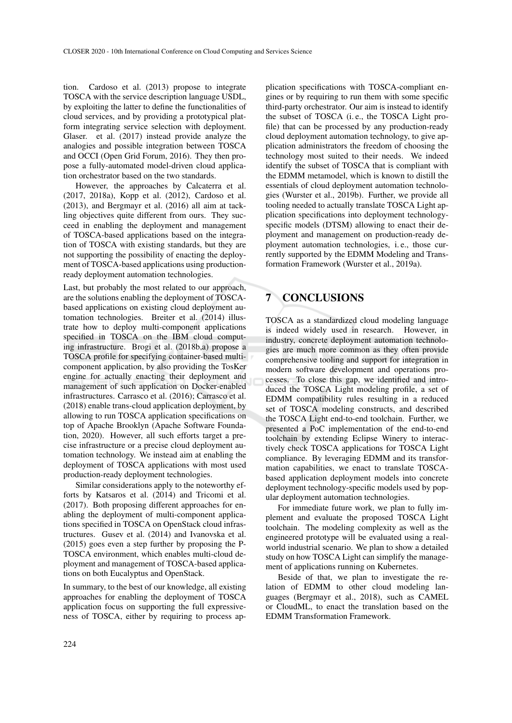tion. Cardoso et al. (2013) propose to integrate TOSCA with the service description language USDL, by exploiting the latter to define the functionalities of cloud services, and by providing a prototypical platform integrating service selection with deployment. Glaser. et al. (2017) instead provide analyze the analogies and possible integration between TOSCA and OCCI (Open Grid Forum, 2016). They then propose a fully-automated model-driven cloud application orchestrator based on the two standards.

However, the approaches by Calcaterra et al. (2017, 2018a), Kopp et al. (2012), Cardoso et al. (2013), and Bergmayr et al. (2016) all aim at tackling objectives quite different from ours. They succeed in enabling the deployment and management of TOSCA-based applications based on the integration of TOSCA with existing standards, but they are not supporting the possibility of enacting the deployment of TOSCA-based applications using productionready deployment automation technologies.

Last, but probably the most related to our approach, are the solutions enabling the deployment of TOSCAbased applications on existing cloud deployment automation technologies. Breiter et al. (2014) illustrate how to deploy multi-component applications specified in TOSCA on the IBM cloud computing infrastructure. Brogi et al. (2018b,a) propose a TOSCA profile for specifying container-based multicomponent application, by also providing the TosKer engine for actually enacting their deployment and management of such application on Docker-enabled infrastructures. Carrasco et al. (2016); Carrasco et al. (2018) enable trans-cloud application deployment, by allowing to run TOSCA application specifications on top of Apache Brooklyn (Apache Software Foundation, 2020). However, all such efforts target a precise infrastructure or a precise cloud deployment automation technology. We instead aim at enabling the deployment of TOSCA applications with most used production-ready deployment technologies.

Similar considerations apply to the noteworthy efforts by Katsaros et al. (2014) and Tricomi et al. (2017). Both proposing different approaches for enabling the deployment of multi-component applications specified in TOSCA on OpenStack cloud infrastructures. Gusev et al. (2014) and Ivanovska et al. (2015) goes even a step further by proposing the P-TOSCA environment, which enables multi-cloud deployment and management of TOSCA-based applications on both Eucalyptus and OpenStack.

In summary, to the best of our knowledge, all existing approaches for enabling the deployment of TOSCA application focus on supporting the full expressiveness of TOSCA, either by requiring to process application specifications with TOSCA-compliant engines or by requiring to run them with some specific third-party orchestrator. Our aim is instead to identify the subset of TOSCA (i. e., the TOSCA Light profile) that can be processed by any production-ready cloud deployment automation technology, to give application administrators the freedom of choosing the technology most suited to their needs. We indeed identify the subset of TOSCA that is compliant with the EDMM metamodel, which is known to distill the essentials of cloud deployment automation technologies (Wurster et al., 2019b). Further, we provide all tooling needed to actually translate TOSCA Light application specifications into deployment technologyspecific models (DTSM) allowing to enact their deployment and management on production-ready deployment automation technologies, i. e., those currently supported by the EDMM Modeling and Transformation Framework (Wurster et al., 2019a).

# 7 CONCLUSIONS

TOSCA as a standardized cloud modeling language is indeed widely used in research. However, in industry, concrete deployment automation technologies are much more common as they often provide comprehensive tooling and support for integration in modern software development and operations processes. To close this gap, we identified and introduced the TOSCA Light modeling profile, a set of EDMM compatibility rules resulting in a reduced set of TOSCA modeling constructs, and described the TOSCA Light end-to-end toolchain. Further, we presented a PoC implementation of the end-to-end toolchain by extending Eclipse Winery to interactively check TOSCA applications for TOSCA Light compliance. By leveraging EDMM and its transformation capabilities, we enact to translate TOSCAbased application deployment models into concrete deployment technology-specific models used by popular deployment automation technologies.

For immediate future work, we plan to fully implement and evaluate the proposed TOSCA Light toolchain. The modeling complexity as well as the engineered prototype will be evaluated using a realworld industrial scenario. We plan to show a detailed study on how TOSCA Light can simplify the management of applications running on Kubernetes.

Beside of that, we plan to investigate the relation of EDMM to other cloud modeling languages (Bergmayr et al., 2018), such as CAMEL or CloudML, to enact the translation based on the EDMM Transformation Framework.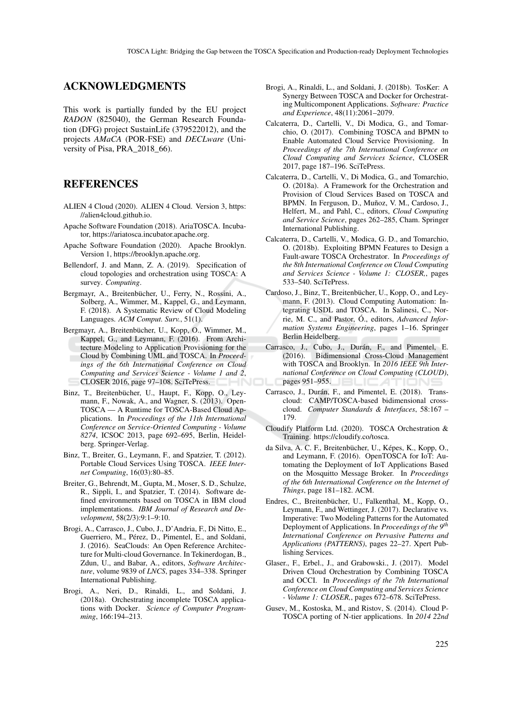#### ACKNOWLEDGMENTS

This work is partially funded by the EU project *RADON* (825040), the German Research Foundation (DFG) project SustainLife (379522012), and the projects *AMaCA* (POR-FSE) and *DECLware* (University of Pisa, PRA 2018 66).

### **REFERENCES**

- ALIEN 4 Cloud (2020). ALIEN 4 Cloud. Version 3, https: //alien4cloud.github.io.
- Apache Software Foundation (2018). AriaTOSCA. Incubator, https://ariatosca.incubator.apache.org.
- Apache Software Foundation (2020). Apache Brooklyn. Version 1, https://brooklyn.apache.org.
- Bellendorf, J. and Mann, Z. A. (2019). Specification of cloud topologies and orchestration using TOSCA: A survey. *Computing*.
- Bergmayr, A., Breitenbücher, U., Ferry, N., Rossini, A., Solberg, A., Wimmer, M., Kappel, G., and Leymann, F. (2018). A Systematic Review of Cloud Modeling Languages. *ACM Comput. Surv.*, 51(1).
- Bergmayr, A., Breitenbücher, U., Kopp, O., Wimmer, M., Kappel, G., and Leymann, F. (2016). From Architecture Modeling to Application Provisioning for the Cloud by Combining UML and TOSCA. In *Proceedings of the 6th International Conference on Cloud Computing and Services Science - Volume 1 and 2*, CLOSER 2016, page 97–108. SciTePress.
- Binz, T., Breitenbücher, U., Haupt, F., Kopp, O., Leymann, F., Nowak, A., and Wagner, S. (2013). Open-TOSCA — A Runtime for TOSCA-Based Cloud Applications. In *Proceedings of the 11th International Conference on Service-Oriented Computing - Volume 8274*, ICSOC 2013, page 692–695, Berlin, Heidelberg. Springer-Verlag.
- Binz, T., Breiter, G., Leymann, F., and Spatzier, T. (2012). Portable Cloud Services Using TOSCA. *IEEE Internet Computing*, 16(03):80–85.
- Breiter, G., Behrendt, M., Gupta, M., Moser, S. D., Schulze, R., Sippli, I., and Spatzier, T. (2014). Software defined environments based on TOSCA in IBM cloud implementations. *IBM Journal of Research and Development*, 58(2/3):9:1–9:10.
- Brogi, A., Carrasco, J., Cubo, J., D'Andria, F., Di Nitto, E., Guerriero, M., Pérez, D., Pimentel, E., and Soldani, J. (2016). SeaClouds: An Open Reference Architecture for Multi-cloud Governance. In Tekinerdogan, B., Zdun, U., and Babar, A., editors, *Software Architecture*, volume 9839 of *LNCS*, pages 334–338. Springer International Publishing.
- Brogi, A., Neri, D., Rinaldi, L., and Soldani, J. (2018a). Orchestrating incomplete TOSCA applications with Docker. *Science of Computer Programming*, 166:194–213.
- Brogi, A., Rinaldi, L., and Soldani, J. (2018b). TosKer: A Synergy Between TOSCA and Docker for Orchestrating Multicomponent Applications. *Software: Practice and Experience*, 48(11):2061–2079.
- Calcaterra, D., Cartelli, V., Di Modica, G., and Tomarchio, O. (2017). Combining TOSCA and BPMN to Enable Automated Cloud Service Provisioning. In *Proceedings of the 7th International Conference on Cloud Computing and Services Science*, CLOSER 2017, page 187–196. SciTePress.
- Calcaterra, D., Cartelli, V., Di Modica, G., and Tomarchio, O. (2018a). A Framework for the Orchestration and Provision of Cloud Services Based on TOSCA and BPMN. In Ferguson, D., Muñoz, V. M., Cardoso, J., Helfert, M., and Pahl, C., editors, *Cloud Computing and Service Science*, pages 262–285, Cham. Springer International Publishing.
- Calcaterra, D., Cartelli, V., Modica, G. D., and Tomarchio, O. (2018b). Exploiting BPMN Features to Design a Fault-aware TOSCA Orchestrator. In *Proceedings of the 8th International Conference on Cloud Computing and Services Science - Volume 1: CLOSER,*, pages 533–540. SciTePress.
- Cardoso, J., Binz, T., Breitenbücher, U., Kopp, O., and Leymann, F. (2013). Cloud Computing Automation: Integrating USDL and TOSCA. In Salinesi, C., Norrie, M. C., and Pastor, Ó., editors, *Advanced Information Systems Engineering*, pages 1–16. Springer Berlin Heidelberg.
- Carrasco, J., Cubo, J., Durán, F., and Pimentel, E. (2016). Bidimensional Cross-Cloud Management with TOSCA and Brooklyn. In *2016 IEEE 9th International Conference on Cloud Computing (CLOUD)*, pages 951–955.
- Carrasco, J., Durán, F., and Pimentel, E. (2018). Transcloud: CAMP/TOSCA-based bidimensional crosscloud. *Computer Standards & Interfaces*, 58:167 – 179.
- Cloudify Platform Ltd. (2020). TOSCA Orchestration & Training. https://cloudify.co/tosca.
- da Silva, A. C. F., Breitenbücher, U., Képes, K., Kopp, O., and Leymann, F. (2016). OpenTOSCA for IoT: Automating the Deployment of IoT Applications Based on the Mosquitto Message Broker. In *Proceedings of the 6th International Conference on the Internet of Things*, page 181–182. ACM.
- Endres, C., Breitenbücher, U., Falkenthal, M., Kopp, O., Leymann, F., and Wettinger, J. (2017). Declarative vs. Imperative: Two Modeling Patterns for the Automated Deployment of Applications. In *Proceedings of the 9th International Conference on Pervasive Patterns and Applications (PATTERNS)*, pages 22–27. Xpert Publishing Services.
- Glaser., F., Erbel., J., and Grabowski., J. (2017). Model Driven Cloud Orchestration by Combining TOSCA and OCCI. In *Proceedings of the 7th International Conference on Cloud Computing and Services Science - Volume 1: CLOSER,*, pages 672–678. SciTePress.
- Gusev, M., Kostoska, M., and Ristov, S. (2014). Cloud P-TOSCA porting of N-tier applications. In *2014 22nd*